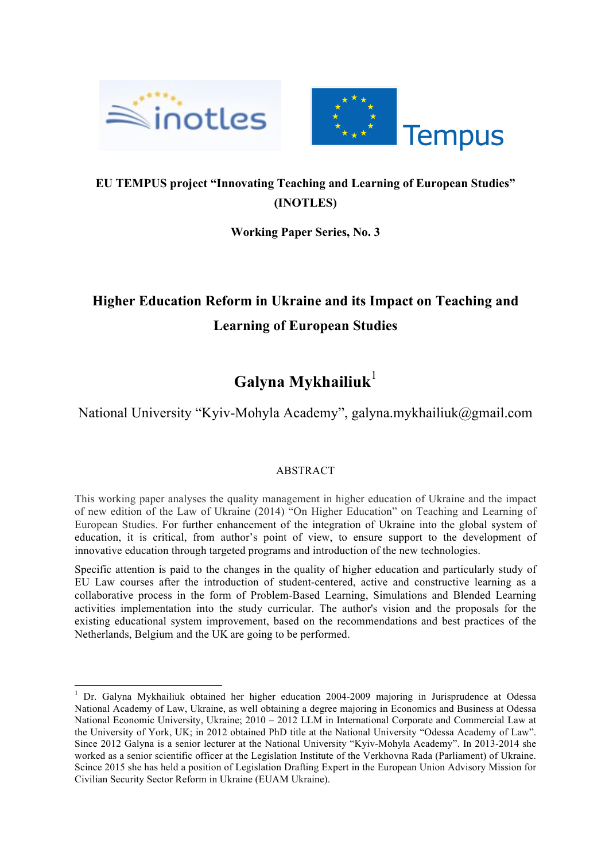



## **EU TEMPUS project "Innovating Teaching and Learning of European Studies" (INOTLES)**

**Working Paper Series, No. 3**

# **Higher Education Reform in Ukraine and its Impact on Teaching and Learning of European Studies**

# **Galyna Mykhailiuk**<sup>1</sup>

National University "Kyiv-Mohyla Academy", galyna.mykhailiuk@gmail.com

### ABSTRACT

This working paper analyses the quality management in higher education of Ukraine and the impact of new edition of the Law of Ukraine (2014) "On Higher Education" on Teaching and Learning of European Studies. For further enhancement of the integration of Ukraine into the global system of education, it is critical, from author's point of view, to ensure support to the development of innovative education through targeted programs and introduction of the new technologies.

Specific attention is paid to the changes in the quality of higher education and particularly study of EU Law courses after the introduction of student-centered, active and constructive learning as a collaborative process in the form of Problem-Based Learning, Simulations and Blended Learning activities implementation into the study curricular. The author's vision and the proposals for the existing educational system improvement, based on the recommendations and best practices of the Netherlands, Belgium and the UK are going to be performed.

 <sup>1</sup> Dr. Galyna Mykhailiuk obtained her higher education 2004-2009 majoring in Jurisprudence at Odessa National Academy of Law, Ukraine, as well obtaining a degree majoring in Economics and Business at Odessa National Economic University, Ukraine; 2010 – 2012 LLM in International Corporate and Commercial Law at the University of York, UK; in 2012 obtained PhD title at the National University "Odessa Academy of Law". Since 2012 Galyna is a senior lecturer at the National University "Kyiv-Mohyla Academy". In 2013-2014 she worked as a senior scientific officer at the Legislation Institute of the Verkhovna Rada (Parliament) of Ukraine. Scince 2015 she has held a position of Legislation Drafting Expert in the European Union Advisory Mission for Civilian Security Sector Reform in Ukraine (EUAM Ukraine).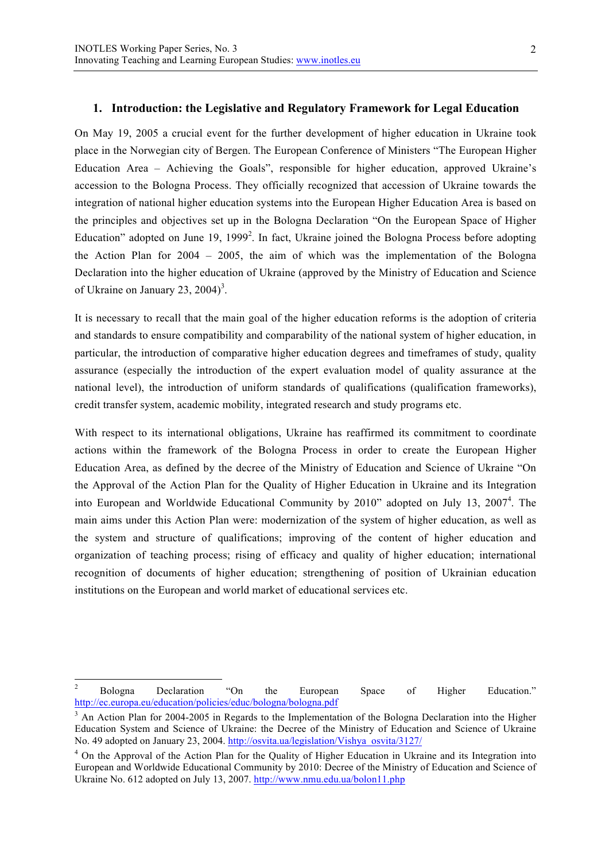#### **1. Introduction: the Legislative and Regulatory Framework for Legal Education**

On May 19, 2005 a crucial event for the further development of higher education in Ukraine took place in the Norwegian city of Bergen. The European Conference of Ministers "The European Higher Education Area – Achieving the Goals", responsible for higher education, approved Ukraine's accession to the Bologna Process. They officially recognized that accession of Ukraine towards the integration of national higher education systems into the European Higher Education Area is based on the principles and objectives set up in the Bologna Declaration "On the European Space of Higher Education" adopted on June 19, 1999<sup>2</sup>. In fact, Ukraine joined the Bologna Process before adopting the Action Plan for 2004 – 2005, the aim of which was the implementation of the Bologna Declaration into the higher education of Ukraine (approved by the Ministry of Education and Science of Ukraine on January 23, 2004)<sup>3</sup>.

It is necessary to recall that the main goal of the higher education reforms is the adoption of criteria and standards to ensure compatibility and comparability of the national system of higher education, in particular, the introduction of comparative higher education degrees and timeframes of study, quality assurance (especially the introduction of the expert evaluation model of quality assurance at the national level), the introduction of uniform standards of qualifications (qualification frameworks), credit transfer system, academic mobility, integrated research and study programs etc.

With respect to its international obligations, Ukraine has reaffirmed its commitment to coordinate actions within the framework of the Bologna Process in order to create the European Higher Education Area, as defined by the decree of the Ministry of Education and Science of Ukraine "On the Approval of the Action Plan for the Quality of Higher Education in Ukraine and its Integration into European and Worldwide Educational Community by 2010" adopted on July 13, 2007<sup>4</sup>. The main aims under this Action Plan were: modernization of the system of higher education, as well as the system and structure of qualifications; improving of the content of higher education and organization of teaching process; rising of efficacy and quality of higher education; international recognition of documents of higher education; strengthening of position of Ukrainian education institutions on the European and world market of educational services etc.

<sup>&</sup>lt;sup>2</sup> Bologna Declaration "On the European Space of Higher Education." http://ec.europa.eu/education/policies/educ/bologna/bologna.pdf

<sup>&</sup>lt;sup>3</sup> An Action Plan for 2004-2005 in Regards to the Implementation of the Bologna Declaration into the Higher Education System and Science of Ukraine: the Decree of the Ministry of Education and Science of Ukraine No. 49 adopted on January 23, 2004. http://osvita.ua/legislation/Vishya\_osvita/3127/

<sup>&</sup>lt;sup>4</sup> On the Approval of the Action Plan for the Quality of Higher Education in Ukraine and its Integration into European and Worldwide Educational Community by 2010: Decree of the Ministry of Education and Science of Ukraine No. 612 adopted on July 13, 2007. http://www.nmu.edu.ua/bolon11.php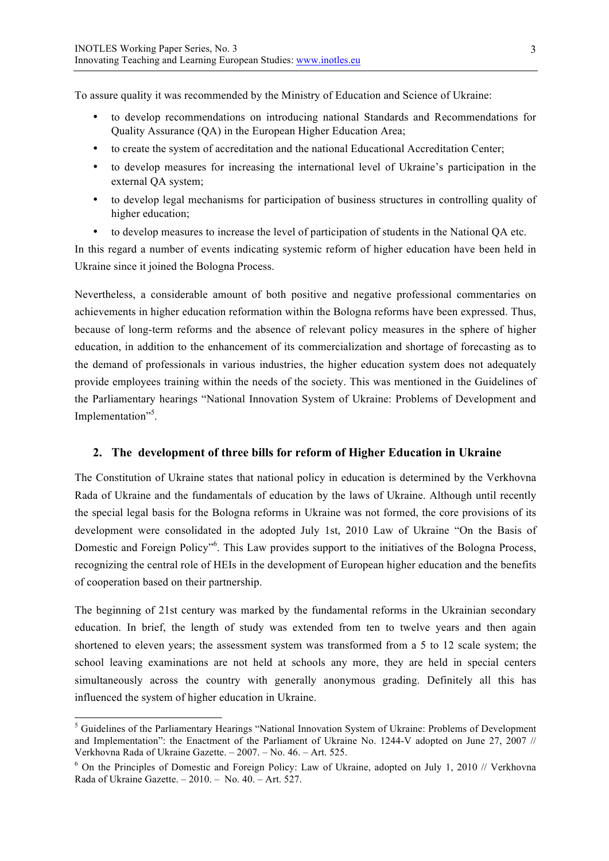To assure quality it was recommended by the Ministry of Education and Science of Ukraine:

- to develop recommendations on introducing national Standards and Recommendations for Quality Assurance (QA) in the European Higher Education Area;
- to create the system of accreditation and the national Educational Accreditation Center;
- to develop measures for increasing the international level of Ukraine's participation in the external QA system;
- to develop legal mechanisms for participation of business structures in controlling quality of higher education;
- to develop measures to increase the level of participation of students in the National QA etc.

In this regard a number of events indicating systemic reform of higher education have been held in Ukraine since it joined the Bologna Process.

Nevertheless, a considerable amount of both positive and negative professional commentaries on achievements in higher education reformation within the Bologna reforms have been expressed. Thus, because of long-term reforms and the absence of relevant policy measures in the sphere of higher education, in addition to the enhancement of its commercialization and shortage of forecasting as to the demand of professionals in various industries, the higher education system does not adequately provide employees training within the needs of the society. This was mentioned in the Guidelines of the Parliamentary hearings "National Innovation System of Ukraine: Problems of Development and Implementation"<sup>5</sup>.

#### **2. The development of three bills for reform of Higher Education in Ukraine**

The Constitution of Ukraine states that national policy in education is determined by the Verkhovna Rada of Ukraine and the fundamentals of education by the laws of Ukraine. Although until recently the special legal basis for the Bologna reforms in Ukraine was not formed, the core provisions of its development were consolidated in the adopted July 1st, 2010 Law of Ukraine "On the Basis of Domestic and Foreign Policy<sup>"6</sup>. This Law provides support to the initiatives of the Bologna Process, recognizing the central role of HEIs in the development of European higher education and the benefits of cooperation based on their partnership.

The beginning of 21st century was marked by the fundamental reforms in the Ukrainian secondary education. In brief, the length of study was extended from ten to twelve years and then again shortened to eleven years; the assessment system was transformed from a 5 to 12 scale system; the school leaving examinations are not held at schools any more, they are held in special centers simultaneously across the country with generally anonymous grading. Definitely all this has influenced the system of higher education in Ukraine.

 <sup>5</sup> Guidelines of the Parliamentary Hearings "National Innovation System of Ukraine: Problems of Development and Implementation": the Enactment of the Parliament of Ukraine No. 1244-V adopted on June 27, 2007 // Verkhovna Rada of Ukraine Gazette. – 2007. – No. 46. – Art. 525.

 $6$  On the Principles of Domestic and Foreign Policy: Law of Ukraine, adopted on July 1, 2010 // Verkhovna Rada of Ukraine Gazette. – 2010. – No. 40. – Art. 527.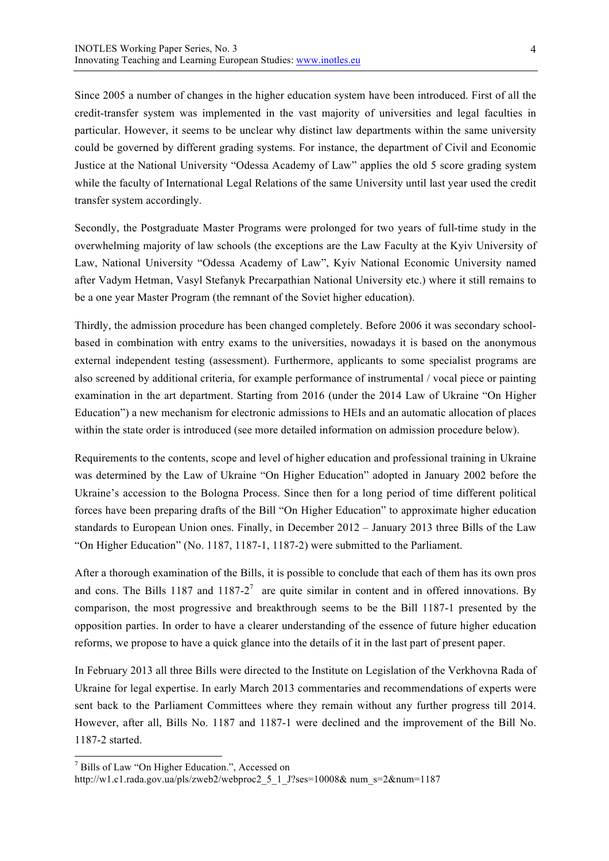Since 2005 a number of changes in the higher education system have been introduced. First of all the credit-transfer system was implemented in the vast majority of universities and legal faculties in particular. However, it seems to be unclear why distinct law departments within the same university could be governed by different grading systems. For instance, the department of Civil and Economic Justice at the National University "Odessa Academy of Law" applies the old 5 score grading system while the faculty of International Legal Relations of the same University until last year used the credit transfer system accordingly.

Secondly, the Postgraduate Master Programs were prolonged for two years of full-time study in the overwhelming majority of law schools (the exceptions are the Law Faculty at the Kyiv University of Law, National University "Odessa Academy of Law", Kyiv National Economic University named after Vadym Hetman, Vasyl Stefanyk Precarpathian National University etc.) where it still remains to be a one year Master Program (the remnant of the Soviet higher education).

Thirdly, the admission procedure has been changed completely. Before 2006 it was secondary schoolbased in combination with entry exams to the universities, nowadays it is based on the anonymous external independent testing (assessment). Furthermore, applicants to some specialist programs are also screened by additional criteria, for example performance of instrumental / vocal piece or painting examination in the art department. Starting from 2016 (under the 2014 Law of Ukraine "On Higher Education") a new mechanism for electronic admissions to HEIs and an automatic allocation of places within the state order is introduced (see more detailed information on admission procedure below).

Requirements to the contents, scope and level of higher education and professional training in Ukraine was determined by the Law of Ukraine "On Higher Education" adopted in January 2002 before the Ukraine's accession to the Bologna Process. Since then for a long period of time different political forces have been preparing drafts of the Bill "On Higher Education" to approximate higher education standards to European Union ones. Finally, in December 2012 – January 2013 three Bills of the Law "On Higher Education" (No. 1187, 1187-1, 1187-2) were submitted to the Parliament.

After a thorough examination of the Bills, it is possible to conclude that each of them has its own pros and cons. The Bills 1187 and 1187-2<sup>7</sup> are quite similar in content and in offered innovations. By comparison, the most progressive and breakthrough seems to be the Bill 1187-1 presented by the opposition parties. In order to have a clearer understanding of the essence of future higher education reforms, we propose to have a quick glance into the details of it in the last part of present paper.

In February 2013 all three Bills were directed to the Institute on Legislation of the Verkhovna Rada of Ukraine for legal expertise. In early March 2013 commentaries and recommendations of experts were sent back to the Parliament Committees where they remain without any further progress till 2014. However, after all, Bills No. 1187 and 1187-1 were declined and the improvement of the Bill No. 1187-2 started.

 <sup>7</sup> Bills of Law "On Higher Education.", Accessed on

http://w1.c1.rada.gov.ua/pls/zweb2/webproc2\_5\_1\_J?ses=10008& num\_s=2&num=1187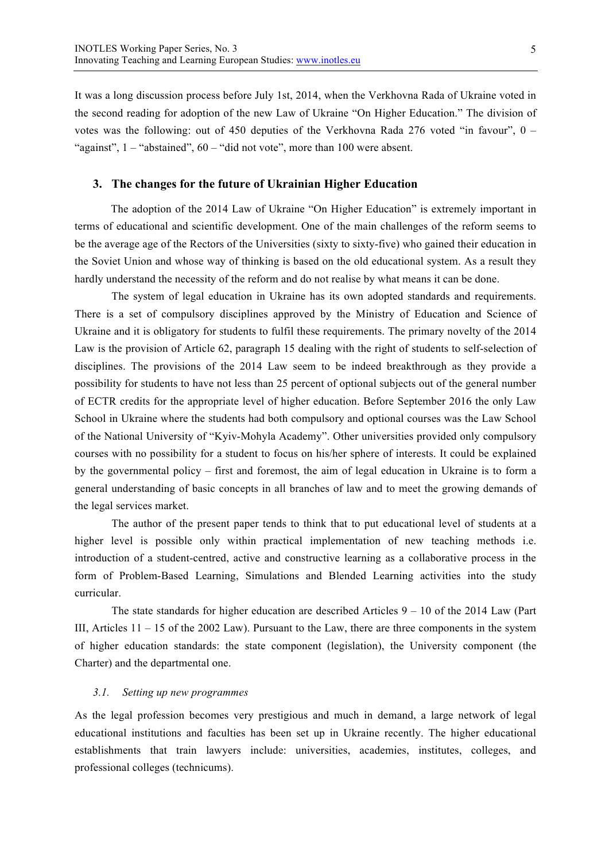It was a long discussion process before July 1st, 2014, when the Verkhovna Rada of Ukraine voted in the second reading for adoption of the new Law of Ukraine "On Higher Education." The division of votes was the following: out of 450 deputies of the Verkhovna Rada 276 voted "in favour",  $0 -$ "against",  $1 -$ "abstained",  $60 -$ "did not vote", more than 100 were absent.

#### **3. The changes for the future of Ukrainian Higher Education**

The adoption of the 2014 Law of Ukraine "On Higher Education" is extremely important in terms of educational and scientific development. One of the main challenges of the reform seems to be the average age of the Rectors of the Universities (sixty to sixty-five) who gained their education in the Soviet Union and whose way of thinking is based on the old educational system. As a result they hardly understand the necessity of the reform and do not realise by what means it can be done.

The system of legal education in Ukraine has its own adopted standards and requirements. There is a set of compulsory disciplines approved by the Ministry of Education and Science of Ukraine and it is obligatory for students to fulfil these requirements. The primary novelty of the 2014 Law is the provision of Article 62, paragraph 15 dealing with the right of students to self-selection of disciplines. The provisions of the 2014 Law seem to be indeed breakthrough as they provide a possibility for students to have not less than 25 percent of optional subjects out of the general number of ECTR credits for the appropriate level of higher education. Before September 2016 the only Law School in Ukraine where the students had both compulsory and optional courses was the Law School of the National University of "Kyiv-Mohyla Academy". Other universities provided only compulsory courses with no possibility for a student to focus on his/her sphere of interests. It could be explained by the governmental policy – first and foremost, the aim of legal education in Ukraine is to form a general understanding of basic concepts in all branches of law and to meet the growing demands of the legal services market.

The author of the present paper tends to think that to put educational level of students at a higher level is possible only within practical implementation of new teaching methods i.e. introduction of a student-centred, active and constructive learning as a collaborative process in the form of Problem-Based Learning, Simulations and Blended Learning activities into the study curricular.

The state standards for higher education are described Articles  $9 - 10$  of the 2014 Law (Part III, Articles 11 – 15 of the 2002 Law). Pursuant to the Law, there are three components in the system of higher education standards: the state component (legislation), the University component (the Charter) and the departmental one.

#### *3.1. Setting up new programmes*

As the legal profession becomes very prestigious and much in demand, a large network of legal educational institutions and faculties has been set up in Ukraine recently. The higher educational establishments that train lawyers include: universities, academies, institutes, colleges, and professional colleges (technicums).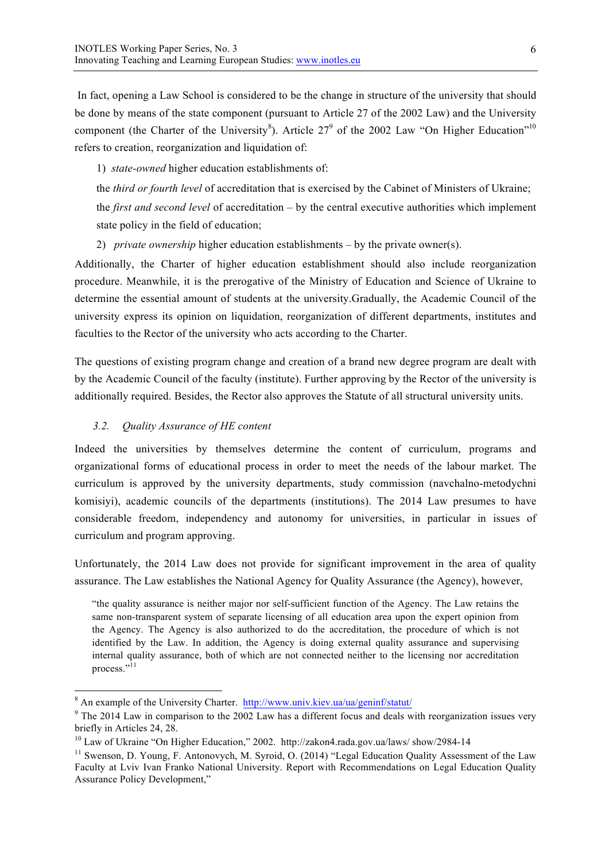In fact, opening a Law School is considered to be the change in structure of the university that should be done by means of the state component (pursuant to Article 27 of the 2002 Law) and the University component (the Charter of the University<sup>8</sup>). Article 27<sup>9</sup> of the 2002 Law "On Higher Education"<sup>10</sup> refers to creation, reorganization and liquidation of:

1) *state-owned* higher education establishments of:

the *third or fourth level* of accreditation that is exercised by the Cabinet of Ministers of Ukraine;

the *first and second level* of accreditation – by the central executive authorities which implement state policy in the field of education;

2) *private ownership* higher education establishments – by the private owner(s).

Additionally, the Charter of higher education establishment should also include reorganization procedure. Meanwhile, it is the prerogative of the Ministry of Education and Science of Ukraine to determine the essential amount of students at the university.Gradually, the Academic Council of the university express its opinion on liquidation, reorganization of different departments, institutes and faculties to the Rector of the university who acts according to the Charter.

The questions of existing program change and creation of a brand new degree program are dealt with by the Academic Council of the faculty (institute). Further approving by the Rector of the university is additionally required. Besides, the Rector also approves the Statute of all structural university units.

#### *3.2. Quality Assurance of HE content*

Indeed the universities by themselves determine the content of curriculum, programs and organizational forms of educational process in order to meet the needs of the labour market. The curriculum is approved by the university departments, study commission (navchalno-metodychni komisiyi), academic councils of the departments (institutions). The 2014 Law presumes to have considerable freedom, independency and autonomy for universities, in particular in issues of curriculum and program approving.

Unfortunately, the 2014 Law does not provide for significant improvement in the area of quality assurance. The Law establishes the National Agency for Quality Assurance (the Agency), however,

"the quality assurance is neither major nor self-sufficient function of the Agency. The Law retains the same non-transparent system of separate licensing of all education area upon the expert opinion from the Agency. The Agency is also authorized to do the accreditation, the procedure of which is not identified by the Law. In addition, the Agency is doing external quality assurance and supervising internal quality assurance, both of which are not connected neither to the licensing nor accreditation process."<sup>11</sup>

<sup>&</sup>lt;sup>8</sup> An example of the University Charter. http://www.univ.kiev.ua/ua/geninf/statut/

<sup>&</sup>lt;sup>9</sup> The 2014 Law in comparison to the 2002 Law has a different focus and deals with reorganization issues very briefly in Articles 24, 28.

<sup>&</sup>lt;sup>10</sup> Law of Ukraine "On Higher Education," 2002. http://zakon4.rada.gov.ua/laws/ show/2984-14

<sup>&</sup>lt;sup>11</sup> Swenson, D. Young, F. Antonovych, M. Syroid, O. (2014) "Legal Education Quality Assessment of the Law Faculty at Lviv Ivan Franko National University. Report with Recommendations on Legal Education Quality Assurance Policy Development,"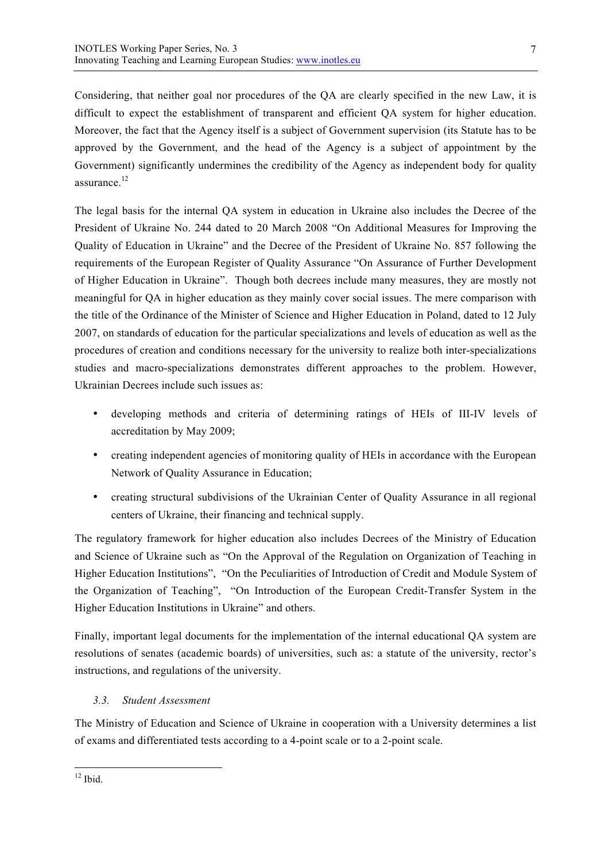Considering, that neither goal nor procedures of the QA are clearly specified in the new Law, it is difficult to expect the establishment of transparent and efficient QA system for higher education. Moreover, the fact that the Agency itself is a subject of Government supervision (its Statute has to be approved by the Government, and the head of the Agency is a subject of appointment by the Government) significantly undermines the credibility of the Agency as independent body for quality assurance.<sup>12</sup>

The legal basis for the internal QA system in education in Ukraine also includes the Decree of the President of Ukraine No. 244 dated to 20 March 2008 "On Additional Measures for Improving the Quality of Education in Ukraine" and the Decree of the President of Ukraine No. 857 following the requirements of the European Register of Quality Assurance "On Assurance of Further Development of Higher Education in Ukraine". Though both decrees include many measures, they are mostly not meaningful for QA in higher education as they mainly cover social issues. The mere comparison with the title of the Ordinance of the Minister of Science and Higher Education in Poland, dated to 12 July 2007, on standards of education for the particular specializations and levels of education as well as the procedures of creation and conditions necessary for the university to realize both inter-specializations studies and macro-specializations demonstrates different approaches to the problem. However, Ukrainian Decrees include such issues as:

- developing methods and criteria of determining ratings of HEIs of III-IV levels of accreditation by May 2009;
- creating independent agencies of monitoring quality of HEIs in accordance with the European Network of Quality Assurance in Education;
- creating structural subdivisions of the Ukrainian Center of Quality Assurance in all regional centers of Ukraine, their financing and technical supply.

The regulatory framework for higher education also includes Decrees of the Ministry of Education and Science of Ukraine such as "On the Approval of the Regulation on Organization of Teaching in Higher Education Institutions", "On the Peculiarities of Introduction of Credit and Module System of the Organization of Teaching", "On Introduction of the European Credit-Transfer System in the Higher Education Institutions in Ukraine" and others.

Finally, important legal documents for the implementation of the internal educational QA system are resolutions of senates (academic boards) of universities, such as: a statute of the university, rector's instructions, and regulations of the university.

### *3.3. Student Assessment*

The Ministry of Education and Science of Ukraine in cooperation with a University determines a list of exams and differentiated tests according to a 4-point scale or to a 2-point scale.

 $12$  Ibid.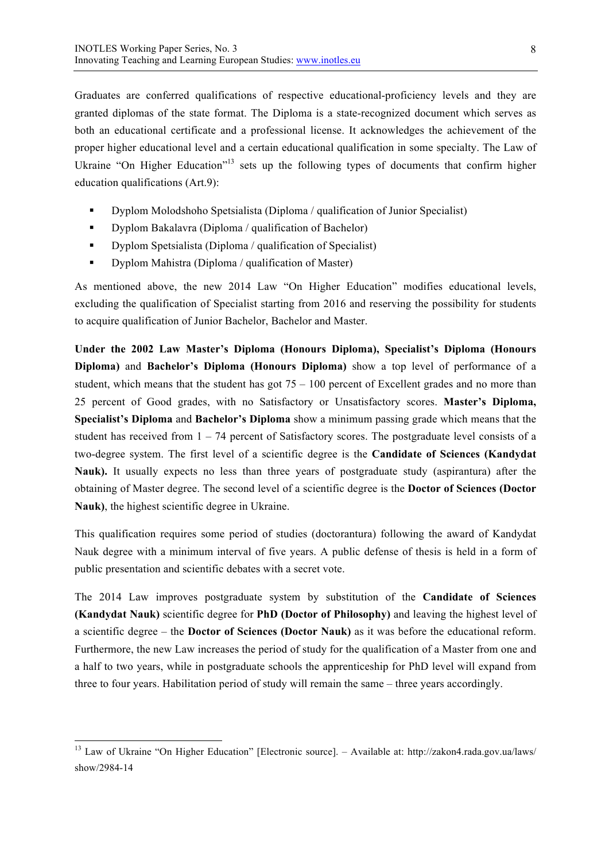Graduates are conferred qualifications of respective educational-proficiency levels and they are granted diplomas of the state format. The Diploma is a state-recognized document which serves as both an educational certificate and a professional license. It acknowledges the achievement of the proper higher educational level and a certain educational qualification in some specialty. The Law of Ukraine "On Higher Education"<sup>13</sup> sets up the following types of documents that confirm higher education qualifications (Art.9):

- § Dyplom Molodshoho Spetsialista (Diploma / qualification of Junior Specialist)
- Dyplom Bakalavra (Diploma / qualification of Bachelor)
- Dyplom Spetsialista (Diploma / qualification of Specialist)
- Dyplom Mahistra (Diploma / qualification of Master)

As mentioned above, the new 2014 Law "On Higher Education" modifies educational levels, excluding the qualification of Specialist starting from 2016 and reserving the possibility for students to acquire qualification of Junior Bachelor, Bachelor and Master.

**Under the 2002 Law Master's Diploma (Honours Diploma), Specialist's Diploma (Honours Diploma)** and **Bachelor's Diploma (Honours Diploma)** show a top level of performance of a student, which means that the student has got  $75 - 100$  percent of Excellent grades and no more than 25 percent of Good grades, with no Satisfactory or Unsatisfactory scores. **Master's Diploma, Specialist's Diploma** and **Bachelor's Diploma** show a minimum passing grade which means that the student has received from  $1 - 74$  percent of Satisfactory scores. The postgraduate level consists of a two-degree system. The first level of a scientific degree is the **Candidate of Sciences (Kandydat Nauk).** It usually expects no less than three years of postgraduate study (aspirantura) after the obtaining of Master degree. The second level of a scientific degree is the **Doctor of Sciences (Doctor Nauk)**, the highest scientific degree in Ukraine.

This qualification requires some period of studies (doctorantura) following the award of Kandydat Nauk degree with a minimum interval of five years. A public defense of thesis is held in a form of public presentation and scientific debates with a secret vote.

The 2014 Law improves postgraduate system by substitution of the **Candidate of Sciences (Kandydat Nauk)** scientific degree for **PhD (Doctor of Philosophy)** and leaving the highest level of a scientific degree – the **Doctor of Sciences (Doctor Nauk)** as it was before the educational reform. Furthermore, the new Law increases the period of study for the qualification of a Master from one and a half to two years, while in postgraduate schools the apprenticeship for PhD level will expand from three to four years. Habilitation period of study will remain the same – three years accordingly.

 <sup>13</sup> Law of Ukraine "On Higher Education" [Electronic source]. – Available at: http://zakon4.rada.gov.ua/laws/ show/2984-14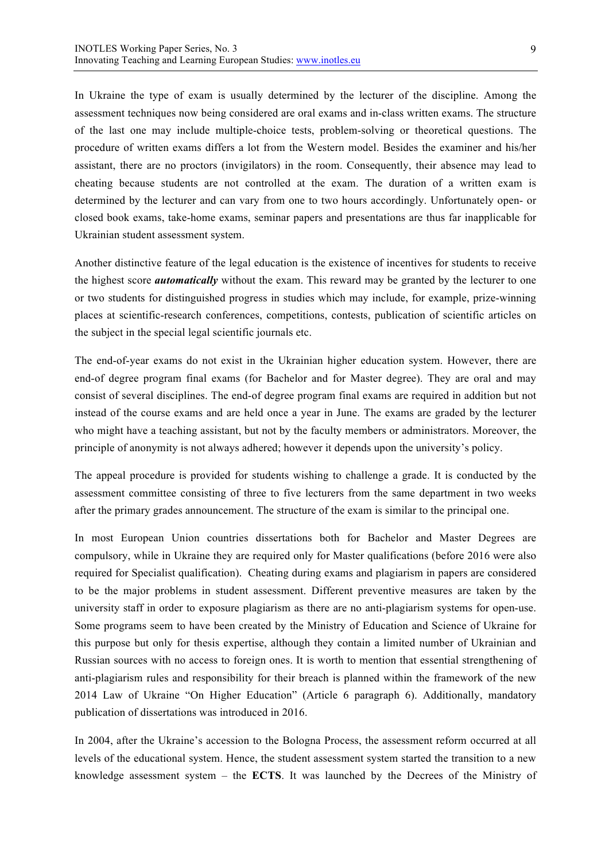In Ukraine the type of exam is usually determined by the lecturer of the discipline. Among the assessment techniques now being considered are oral exams and in-class written exams. The structure of the last one may include multiple-choice tests, problem-solving or theoretical questions. The procedure of written exams differs a lot from the Western model. Besides the examiner and his/her assistant, there are no proctors (invigilators) in the room. Consequently, their absence may lead to cheating because students are not controlled at the exam. The duration of a written exam is determined by the lecturer and can vary from one to two hours accordingly. Unfortunately open- or closed book exams, take-home exams, seminar papers and presentations are thus far inapplicable for Ukrainian student assessment system.

Another distinctive feature of the legal education is the existence of incentives for students to receive the highest score *automatically* without the exam. This reward may be granted by the lecturer to one or two students for distinguished progress in studies which may include, for example, prize-winning places at scientific-research conferences, competitions, contests, publication of scientific articles on the subject in the special legal scientific journals etc.

The end-of-year exams do not exist in the Ukrainian higher education system. However, there are end-of degree program final exams (for Bachelor and for Master degree). They are oral and may consist of several disciplines. The end-of degree program final exams are required in addition but not instead of the course exams and are held once a year in June. The exams are graded by the lecturer who might have a teaching assistant, but not by the faculty members or administrators. Moreover, the principle of anonymity is not always adhered; however it depends upon the university's policy.

The appeal procedure is provided for students wishing to challenge a grade. It is conducted by the assessment committee consisting of three to five lecturers from the same department in two weeks after the primary grades announcement. The structure of the exam is similar to the principal one.

In most European Union countries dissertations both for Bachelor and Master Degrees are compulsory, while in Ukraine they are required only for Master qualifications (before 2016 were also required for Specialist qualification). Cheating during exams and plagiarism in papers are considered to be the major problems in student assessment. Different preventive measures are taken by the university staff in order to exposure plagiarism as there are no anti-plagiarism systems for open-use. Some programs seem to have been created by the Ministry of Education and Science of Ukraine for this purpose but only for thesis expertise, although they contain a limited number of Ukrainian and Russian sources with no access to foreign ones. It is worth to mention that essential strengthening of anti-plagiarism rules and responsibility for their breach is planned within the framework of the new 2014 Law of Ukraine "On Higher Education" (Article 6 paragraph 6). Additionally, mandatory publication of dissertations was introduced in 2016.

In 2004, after the Ukraine's accession to the Bologna Process, the assessment reform occurred at all levels of the educational system. Hence, the student assessment system started the transition to a new knowledge assessment system – the **ECTS**. It was launched by the Decrees of the Ministry of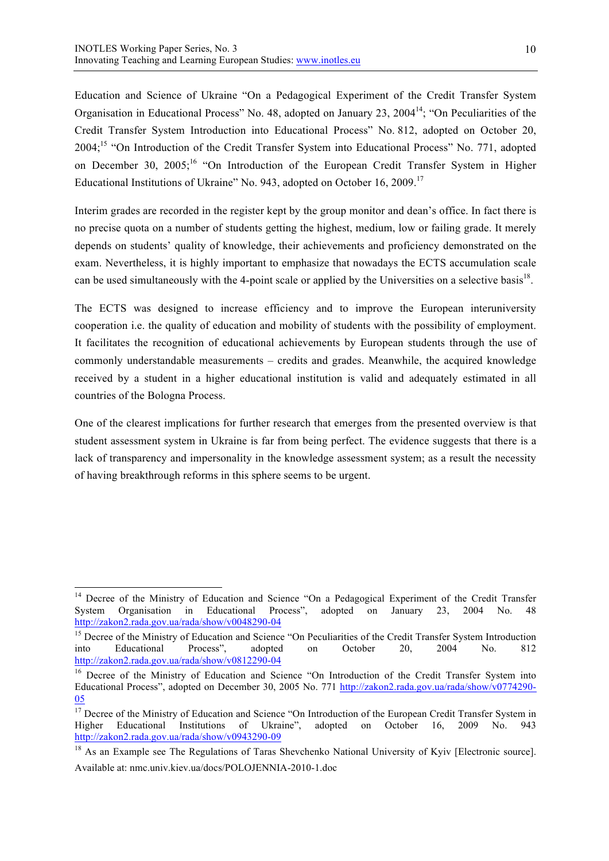Education and Science of Ukraine "On a Pedagogical Experiment of the Credit Transfer System Organisation in Educational Process" No. 48, adopted on January 23, 2004<sup>14</sup>; "On Peculiarities of the Credit Transfer System Introduction into Educational Process" No. 812, adopted on October 20, 2004;<sup>15</sup> "On Introduction of the Credit Transfer System into Educational Process" No. 771, adopted on December 30, 2005;<sup>16</sup> "On Introduction of the European Credit Transfer System in Higher Educational Institutions of Ukraine" No. 943, adopted on October 16, 2009.<sup>17</sup>

Interim grades are recorded in the register kept by the group monitor and dean's office. In fact there is no precise quota on a number of students getting the highest, medium, low or failing grade. It merely depends on students' quality of knowledge, their achievements and proficiency demonstrated on the exam. Nevertheless, it is highly important to emphasize that nowadays the ECTS accumulation scale can be used simultaneously with the 4-point scale or applied by the Universities on a selective basis<sup>18</sup>.

The ECTS was designed to increase efficiency and to improve the European interuniversity cooperation i.e. the quality of education and mobility of students with the possibility of employment. It facilitates the recognition of educational achievements by European students through the use of commonly understandable measurements – credits and grades. Meanwhile, the acquired knowledge received by a student in a higher educational institution is valid and adequately estimated in all countries of the Bologna Process.

One of the clearest implications for further research that emerges from the presented overview is that student assessment system in Ukraine is far from being perfect. The evidence suggests that there is a lack of transparency and impersonality in the knowledge assessment system; as a result the necessity of having breakthrough reforms in this sphere seems to be urgent.

<sup>&</sup>lt;sup>14</sup> Decree of the Ministry of Education and Science "On a Pedagogical Experiment of the Credit Transfer<br>System Organisation in Educational Process", adopted on January 23, 2004 No. 48 System Organisation in Educational Process", adopted on January 23, 2004 No. 48 http://zakon2.rada.gov.ua/rada/show/v0048290-04

<sup>&</sup>lt;sup>15</sup> Decree of the Ministry of Education and Science "On Peculiarities of the Credit Transfer System Introduction into Educational Process", adopted on October 20, 2004 No. 812 http://zakon2.rada.gov.ua/rada/show/v0812290-04

<sup>&</sup>lt;sup>16</sup> Decree of the Ministry of Education and Science "On Introduction of the Credit Transfer System into Educational Process", adopted on December 30, 2005 No. 771 http://zakon2.rada.gov.ua/rada/show/v0774290- 05

<sup>&</sup>lt;sup>17</sup> Decree of the Ministry of Education and Science "On Introduction of the European Credit Transfer System in Higher Educational Institutions of Ukraine", adopted on October 16, 2009 No. http://zakon2.rada.gov.ua/rada/show/v0943290-09

<sup>&</sup>lt;sup>18</sup> As an Example see The Regulations of Taras Shevchenko National University of Kyiv [Electronic source]. Available at: nmc.univ.kiev.ua/docs/POLOJENNIA-2010-1.doc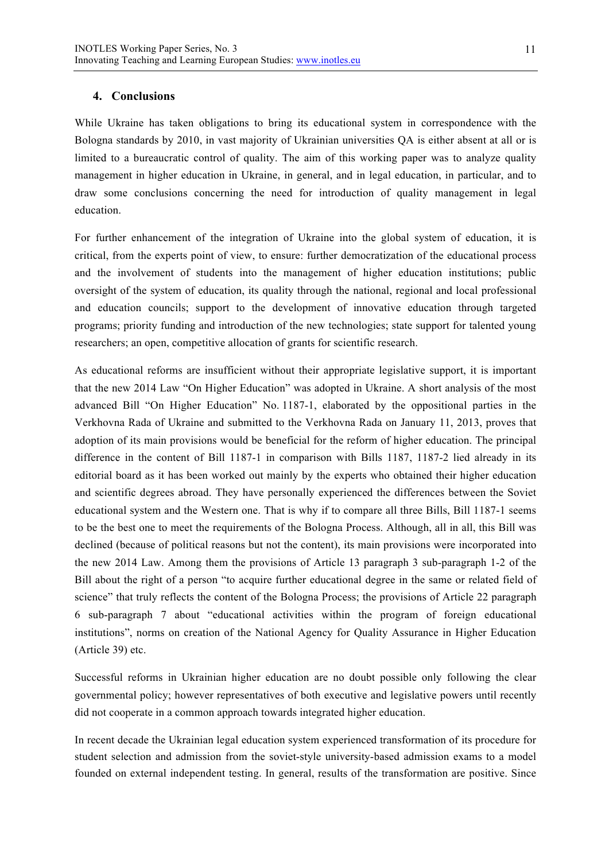#### **4. Conclusions**

While Ukraine has taken obligations to bring its educational system in correspondence with the Bologna standards by 2010, in vast majority of Ukrainian universities QA is either absent at all or is limited to a bureaucratic control of quality. The aim of this working paper was to analyze quality management in higher education in Ukraine, in general, and in legal education, in particular, and to draw some conclusions concerning the need for introduction of quality management in legal education.

For further enhancement of the integration of Ukraine into the global system of education, it is critical, from the experts point of view, to ensure: further democratization of the educational process and the involvement of students into the management of higher education institutions; public oversight of the system of education, its quality through the national, regional and local professional and education councils; support to the development of innovative education through targeted programs; priority funding and introduction of the new technologies; state support for talented young researchers; an open, competitive allocation of grants for scientific research.

As educational reforms are insufficient without their appropriate legislative support, it is important that the new 2014 Law "On Higher Education" was adopted in Ukraine. A short analysis of the most advanced Bill "On Higher Education" No. 1187-1, elaborated by the oppositional parties in the Verkhovna Rada of Ukraine and submitted to the Verkhovna Rada on January 11, 2013, proves that adoption of its main provisions would be beneficial for the reform of higher education. The principal difference in the content of Bill 1187-1 in comparison with Bills 1187, 1187-2 lied already in its editorial board as it has been worked out mainly by the experts who obtained their higher education and scientific degrees abroad. They have personally experienced the differences between the Soviet educational system and the Western one. That is why if to compare all three Bills, Bill 1187-1 seems to be the best one to meet the requirements of the Bologna Process. Although, all in all, this Bill was declined (because of political reasons but not the content), its main provisions were incorporated into the new 2014 Law. Among them the provisions of Article 13 paragraph 3 sub-paragraph 1-2 of the Bill about the right of a person "to acquire further educational degree in the same or related field of science" that truly reflects the content of the Bologna Process; the provisions of Article 22 paragraph 6 sub-paragraph 7 about "educational activities within the program of foreign educational institutions", norms on creation of the National Agency for Quality Assurance in Higher Education (Article 39) etc.

Successful reforms in Ukrainian higher education are no doubt possible only following the clear governmental policy; however representatives of both executive and legislative powers until recently did not cooperate in a common approach towards integrated higher education.

In recent decade the Ukrainian legal education system experienced transformation of its procedure for student selection and admission from the soviet-style university-based admission exams to a model founded on external independent testing. In general, results of the transformation are positive. Since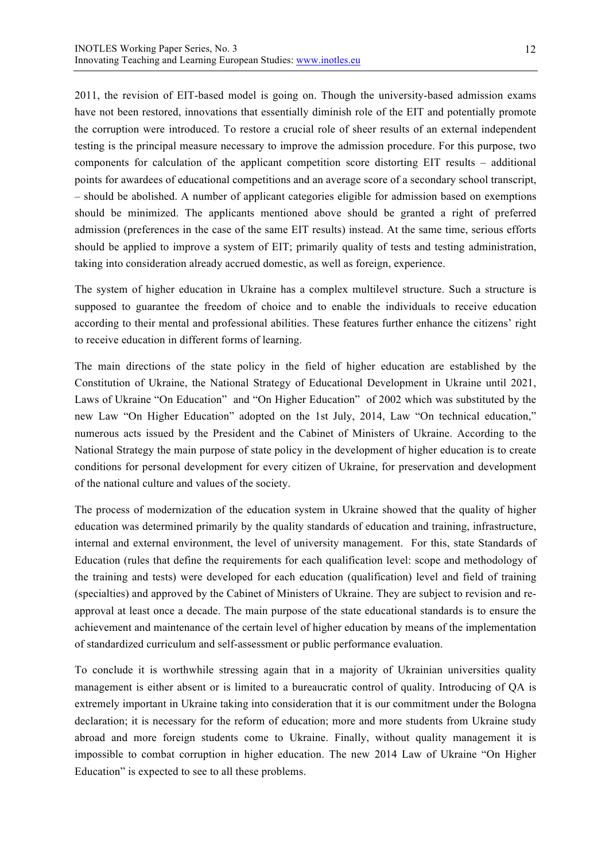2011, the revision of EIT-based model is going on. Though the university-based admission exams have not been restored, innovations that essentially diminish role of the EIT and potentially promote the corruption were introduced. To restore a crucial role of sheer results of an external independent testing is the principal measure necessary to improve the admission procedure. For this purpose, two components for calculation of the applicant competition score distorting EIT results – additional points for awardees of educational competitions and an average score of a secondary school transcript, – should be abolished. A number of applicant categories eligible for admission based on exemptions should be minimized. The applicants mentioned above should be granted a right of preferred admission (preferences in the case of the same EIT results) instead. At the same time, serious efforts should be applied to improve a system of EIT; primarily quality of tests and testing administration, taking into consideration already accrued domestic, as well as foreign, experience.

The system of higher education in Ukraine has a complex multilevel structure. Such a structure is supposed to guarantee the freedom of choice and to enable the individuals to receive education according to their mental and professional abilities. These features further enhance the citizens' right to receive education in different forms of learning.

The main directions of the state policy in the field of higher education are established by the Constitution of Ukraine, the National Strategy of Educational Development in Ukraine until 2021, Laws of Ukraine "On Education" and "On Higher Education" of 2002 which was substituted by the new Law "On Higher Education" adopted on the 1st July, 2014, Law "On technical education," numerous acts issued by the President and the Cabinet of Ministers of Ukraine. According to the National Strategy the main purpose of state policy in the development of higher education is to create conditions for personal development for every citizen of Ukraine, for preservation and development of the national culture and values of the society.

The process of modernization of the education system in Ukraine showed that the quality of higher education was determined primarily by the quality standards of education and training, infrastructure, internal and external environment, the level of university management. For this, state Standards of Education (rules that define the requirements for each qualification level: scope and methodology of the training and tests) were developed for each education (qualification) level and field of training (specialties) and approved by the Cabinet of Ministers of Ukraine. They are subject to revision and reapproval at least once a decade. The main purpose of the state educational standards is to ensure the achievement and maintenance of the certain level of higher education by means of the implementation of standardized curriculum and self-assessment or public performance evaluation.

To conclude it is worthwhile stressing again that in a majority of Ukrainian universities quality management is either absent or is limited to a bureaucratic control of quality. Introducing of QA is extremely important in Ukraine taking into consideration that it is our commitment under the Bologna declaration; it is necessary for the reform of education; more and more students from Ukraine study abroad and more foreign students come to Ukraine. Finally, without quality management it is impossible to combat corruption in higher education. The new 2014 Law of Ukraine "On Higher Education" is expected to see to all these problems.